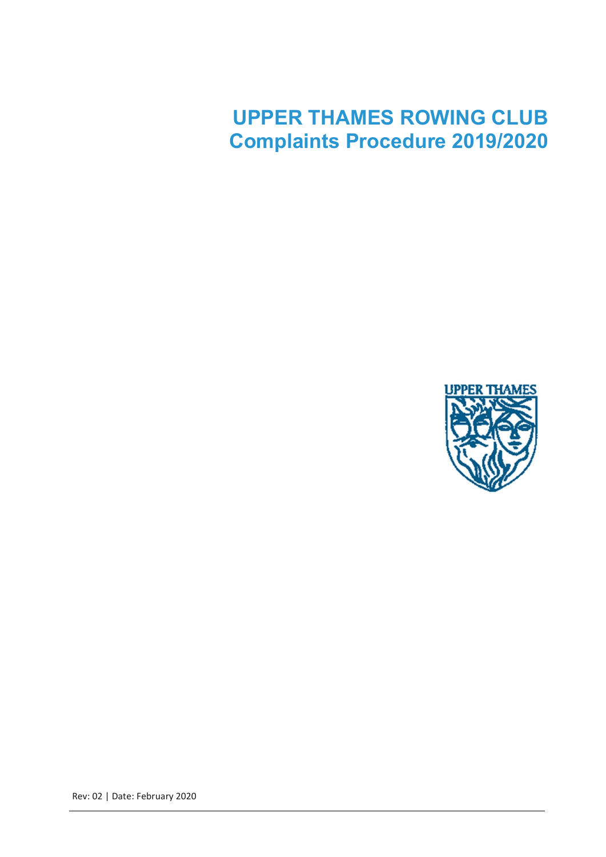# UPPER THAMES ROWING CLUB Complaints Procedure 2019/2020



Rev: 02 | Date: February 2020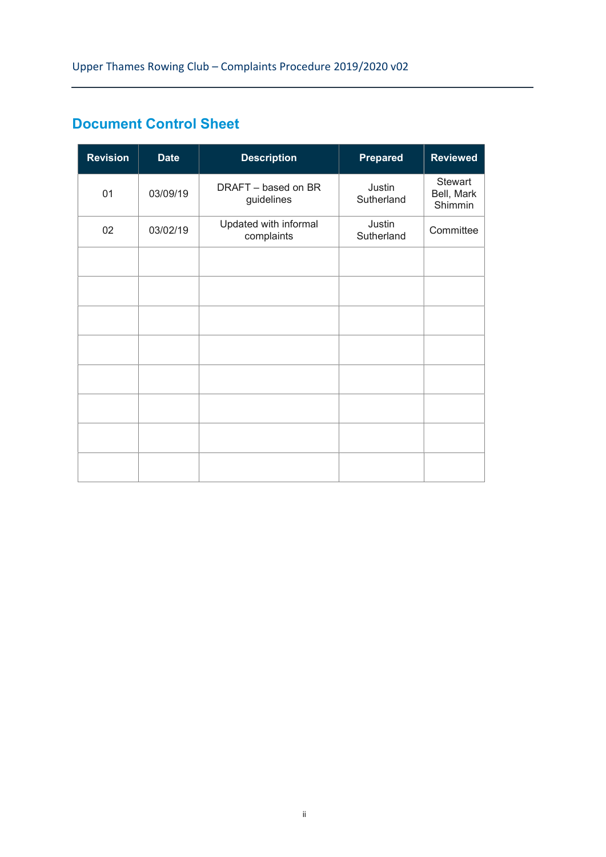# Document Control Sheet

| <b>Revision</b> | <b>Date</b> | <b>Description</b>                  | <b>Prepared</b>      | <b>Reviewed</b>                         |
|-----------------|-------------|-------------------------------------|----------------------|-----------------------------------------|
| 01              | 03/09/19    | DRAFT - based on BR<br>guidelines   | Justin<br>Sutherland | <b>Stewart</b><br>Bell, Mark<br>Shimmin |
| 02              | 03/02/19    | Updated with informal<br>complaints | Justin<br>Sutherland | Committee                               |
|                 |             |                                     |                      |                                         |
|                 |             |                                     |                      |                                         |
|                 |             |                                     |                      |                                         |
|                 |             |                                     |                      |                                         |
|                 |             |                                     |                      |                                         |
|                 |             |                                     |                      |                                         |
|                 |             |                                     |                      |                                         |
|                 |             |                                     |                      |                                         |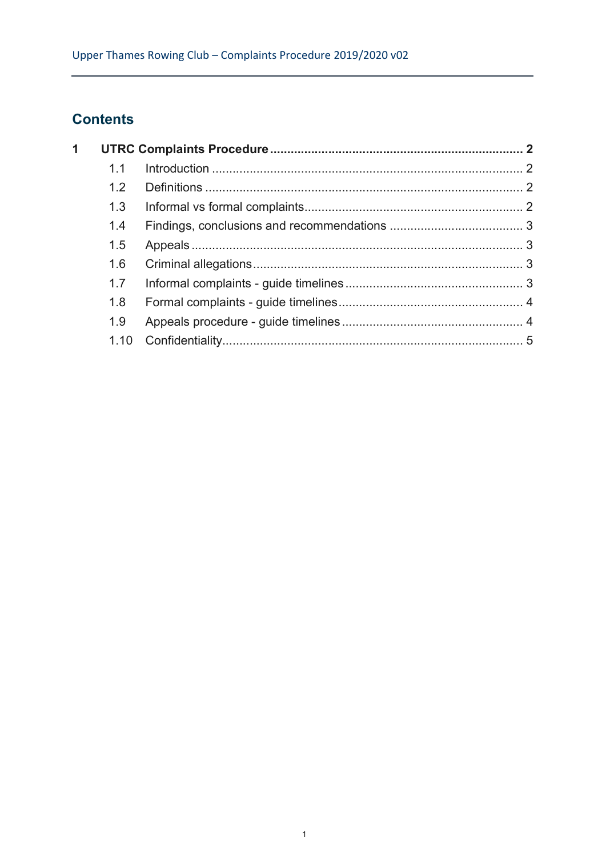# **Contents**

| $\mathbf 1$ |      |  |  |
|-------------|------|--|--|
|             | 11   |  |  |
|             | 1.2  |  |  |
|             | 1.3  |  |  |
|             | 1.4  |  |  |
|             | 1.5  |  |  |
|             | 1.6  |  |  |
|             | 1.7  |  |  |
|             | 1.8  |  |  |
|             | 1.9  |  |  |
|             | 1.10 |  |  |
|             |      |  |  |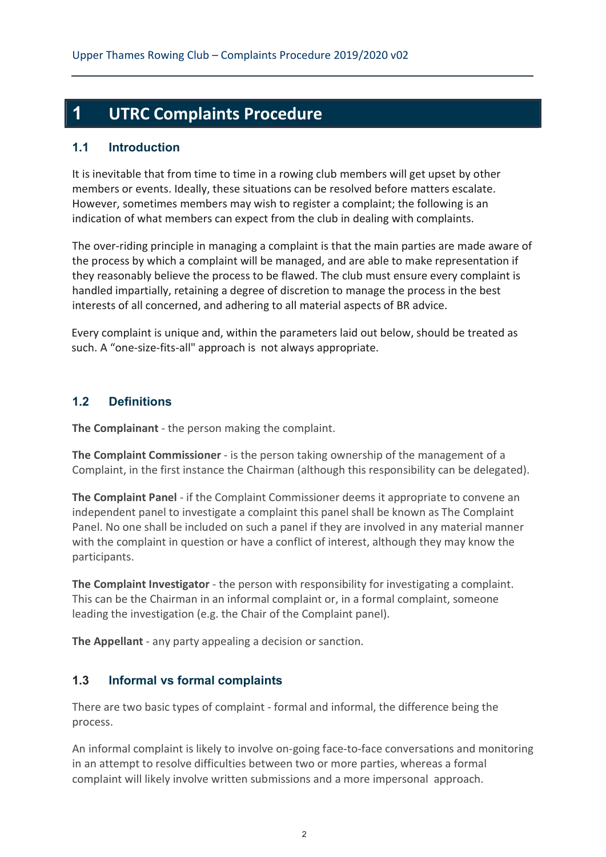# 1 UTRC Complaints Procedure

#### 1.1 Introduction

It is inevitable that from time to time in a rowing club members will get upset by other members or events. Ideally, these situations can be resolved before matters escalate. However, sometimes members may wish to register a complaint; the following is an indication of what members can expect from the club in dealing with complaints.

The over-riding principle in managing a complaint is that the main parties are made aware of the process by which a complaint will be managed, and are able to make representation if they reasonably believe the process to be flawed. The club must ensure every complaint is handled impartially, retaining a degree of discretion to manage the process in the best interests of all concerned, and adhering to all material aspects of BR advice.

Every complaint is unique and, within the parameters laid out below, should be treated as such. A "one-size-fits-all" approach is not always appropriate.

# 1.2 Definitions

The Complainant - the person making the complaint.

The Complaint Commissioner - is the person taking ownership of the management of a Complaint, in the first instance the Chairman (although this responsibility can be delegated).

The Complaint Panel - if the Complaint Commissioner deems it appropriate to convene an independent panel to investigate a complaint this panel shall be known as The Complaint Panel. No one shall be included on such a panel if they are involved in any material manner with the complaint in question or have a conflict of interest, although they may know the participants.

The Complaint Investigator - the person with responsibility for investigating a complaint. This can be the Chairman in an informal complaint or, in a formal complaint, someone leading the investigation (e.g. the Chair of the Complaint panel).

The Appellant - any party appealing a decision or sanction.

# 1.3 Informal vs formal complaints

There are two basic types of complaint - formal and informal, the difference being the process.

An informal complaint is likely to involve on-going face-to-face conversations and monitoring in an attempt to resolve difficulties between two or more parties, whereas a formal complaint will likely involve written submissions and a more impersonal approach.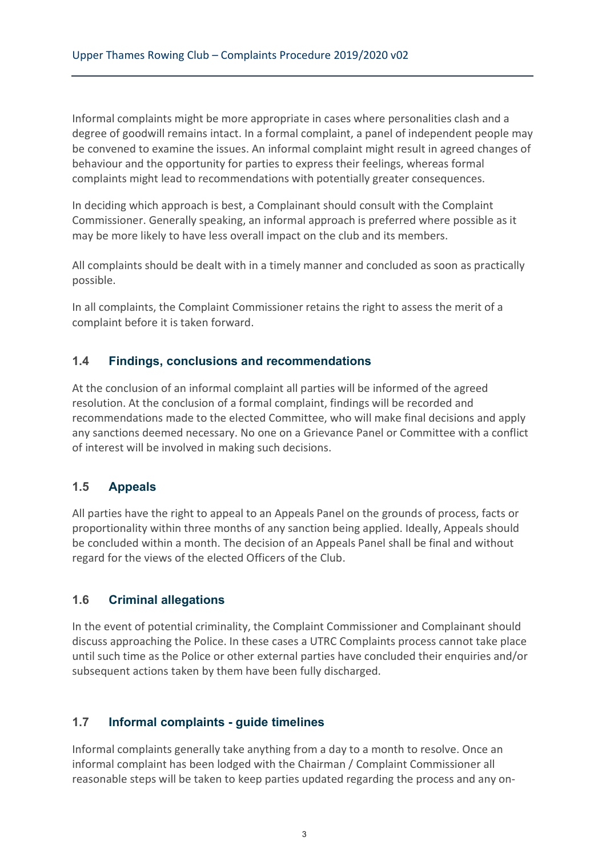Informal complaints might be more appropriate in cases where personalities clash and a degree of goodwill remains intact. In a formal complaint, a panel of independent people may be convened to examine the issues. An informal complaint might result in agreed changes of behaviour and the opportunity for parties to express their feelings, whereas formal complaints might lead to recommendations with potentially greater consequences.

In deciding which approach is best, a Complainant should consult with the Complaint Commissioner. Generally speaking, an informal approach is preferred where possible as it may be more likely to have less overall impact on the club and its members.

All complaints should be dealt with in a timely manner and concluded as soon as practically possible.

In all complaints, the Complaint Commissioner retains the right to assess the merit of a complaint before it is taken forward.

#### 1.4 Findings, conclusions and recommendations

At the conclusion of an informal complaint all parties will be informed of the agreed resolution. At the conclusion of a formal complaint, findings will be recorded and recommendations made to the elected Committee, who will make final decisions and apply any sanctions deemed necessary. No one on a Grievance Panel or Committee with a conflict of interest will be involved in making such decisions.

# 1.5 Appeals

All parties have the right to appeal to an Appeals Panel on the grounds of process, facts or proportionality within three months of any sanction being applied. Ideally, Appeals should be concluded within a month. The decision of an Appeals Panel shall be final and without regard for the views of the elected Officers of the Club.

#### 1.6 Criminal allegations

In the event of potential criminality, the Complaint Commissioner and Complainant should discuss approaching the Police. In these cases a UTRC Complaints process cannot take place until such time as the Police or other external parties have concluded their enquiries and/or subsequent actions taken by them have been fully discharged.

#### 1.7 Informal complaints - guide timelines

Informal complaints generally take anything from a day to a month to resolve. Once an informal complaint has been lodged with the Chairman / Complaint Commissioner all reasonable steps will be taken to keep parties updated regarding the process and any on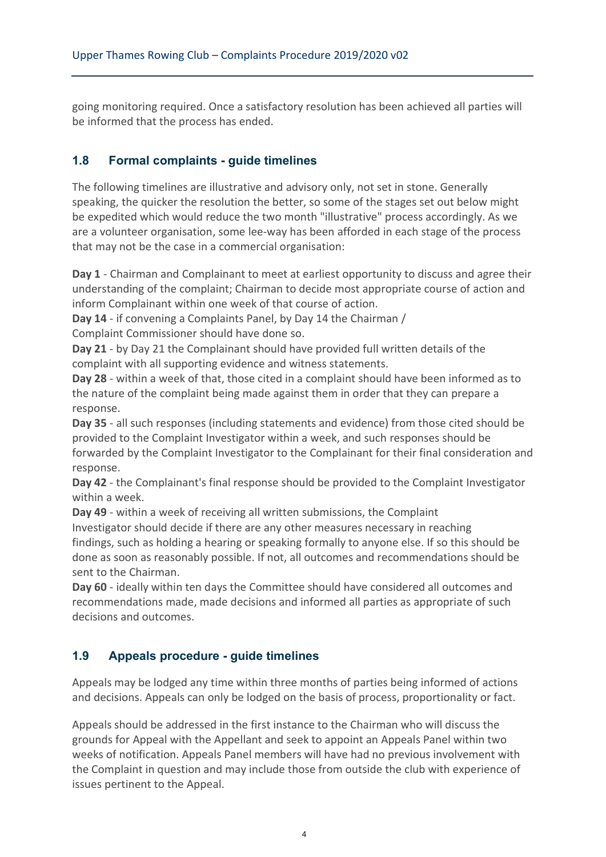going monitoring required. Once a satisfactory resolution has been achieved all parties will be informed that the process has ended.

### 1.8 Formal complaints - guide timelines

The following timelines are illustrative and advisory only, not set in stone. Generally speaking, the quicker the resolution the better, so some of the stages set out below might be expedited which would reduce the two month "illustrative" process accordingly. As we are a volunteer organisation, some lee-way has been afforded in each stage of the process that may not be the case in a commercial organisation:

Day 1 - Chairman and Complainant to meet at earliest opportunity to discuss and agree their understanding of the complaint; Chairman to decide most appropriate course of action and inform Complainant within one week of that course of action.

Day 14 - if convening a Complaints Panel, by Day 14 the Chairman /

Complaint Commissioner should have done so.

Day 21 - by Day 21 the Complainant should have provided full written details of the complaint with all supporting evidence and witness statements.

Day 28 - within a week of that, those cited in a complaint should have been informed as to the nature of the complaint being made against them in order that they can prepare a response.

Day 35 - all such responses (including statements and evidence) from those cited should be provided to the Complaint Investigator within a week, and such responses should be forwarded by the Complaint Investigator to the Complainant for their final consideration and response.

Day 42 - the Complainant's final response should be provided to the Complaint Investigator within a week.

Day 49 - within a week of receiving all written submissions, the Complaint Investigator should decide if there are any other measures necessary in reaching findings, such as holding a hearing or speaking formally to anyone else. If so this should be done as soon as reasonably possible. If not, all outcomes and recommendations should be sent to the Chairman.

Day 60 - ideally within ten days the Committee should have considered all outcomes and recommendations made, made decisions and informed all parties as appropriate of such decisions and outcomes.

# 1.9 Appeals procedure - guide timelines

Appeals may be lodged any time within three months of parties being informed of actions and decisions. Appeals can only be lodged on the basis of process, proportionality or fact.

Appeals should be addressed in the first instance to the Chairman who will discuss the grounds for Appeal with the Appellant and seek to appoint an Appeals Panel within two weeks of notification. Appeals Panel members will have had no previous involvement with the Complaint in question and may include those from outside the club with experience of issues pertinent to the Appeal.